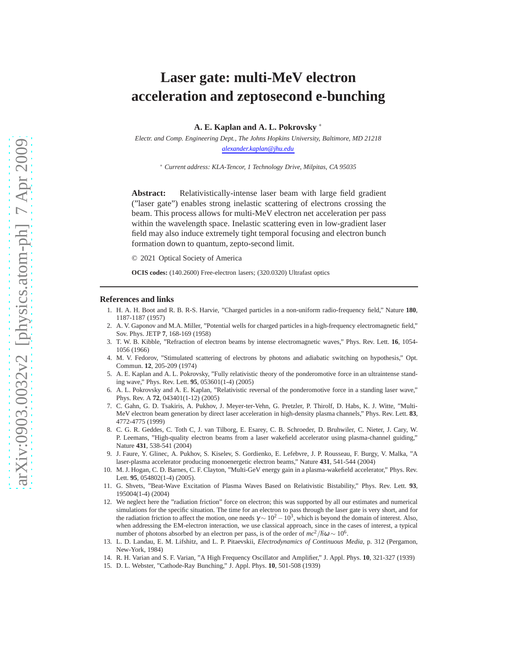# **Laser gate: multi-MeV electron acceleration and zeptosecond e-bunching**

**A. E. Kaplan and A. L. Pokrovsky** <sup>∗</sup>

*Electr. and Comp. Engineering Dept., The Johns Hopkins University, Baltimore, MD 21218 alexander.kaplan@jhu.edu*

<sup>∗</sup> *Current address: KLA-Tencor, 1 Technology Drive, Milpitas, CA 95035*

**Abstract:** Relativistically-intense laser beam with large field gradient ("laser gate") enables strong inelastic scattering of electrons crossing the beam. This process allows for multi-MeV electron net acceleration per pass within the wavelength space. Inelastic scattering even in low-gradient laser field may also induce extremely tight temporal focusing and electron bunch formation down to quantum, zepto-second limit.

© 2021 Optical Society of America

**OCIS codes:** (140.2600) Free-electron lasers; (320.0320) Ultrafast optics

#### <span id="page-0-0"></span>**References and links**

- 1. H. A. H. Boot and R. B. R-S. Harvie, "Charged particles in a non-uniform radio-frequency field," Nature **180**, 1187-1187 (1957)
- <span id="page-0-1"></span>2. A. V. Gaponov and M.A. Miller, "Potential wells for charged particles in a high-frequency electromagnetic field," Sov. Phys. JETP **7**, 168-169 (1958)
- <span id="page-0-2"></span>3. T. W. B. Kibble, "Refraction of electron beams by intense electromagnetic waves," Phys. Rev. Lett. **16**, 1054- 1056 (1966)
- <span id="page-0-3"></span>4. M. V. Fedorov, "Stimulated scattering of electrons by photons and adiabatic switching on hypothesis," Opt. Commun. **12**, 205-209 (1974)
- <span id="page-0-4"></span>5. A. E. Kaplan and A. L. Pokrovsky, "Fully relativistic theory of the ponderomotive force in an ultraintense standing wave," Phys. Rev. Lett. **95**, 053601(1-4) (2005)
- <span id="page-0-5"></span>6. A. L. Pokrovsky and A. E. Kaplan, "Relativistic reversal of the ponderomotive force in a standing laser wave," Phys. Rev. A **72**, 043401(1-12) (2005)
- <span id="page-0-6"></span>7. C. Gahn, G. D. Tsakiris, A. Pukhov, J. Meyer-ter-Vehn, G. Pretzler, P. Thirolf, D. Habs, K. J. Witte, "Multi-MeV electron beam generation by direct laser acceleration in high-density plasma channels," Phys. Rev. Lett. **83**, 4772-4775 (1999)
- <span id="page-0-10"></span>8. C. G. R. Geddes, C. Toth C, J. van Tilborg, E. Esarey, C. B. Schroeder, D. Bruhwiler, C. Nieter, J. Cary, W. P. Leemans, "High-quality electron beams from a laser wakefield accelerator using plasma-channel guiding," Nature **431**, 538-541 (2004)
- <span id="page-0-11"></span>9. J. Faure, Y. Glinec, A. Pukhov, S. Kiselev, S. Gordienko, E. Lefebvre, J. P. Rousseau, F. Burgy, V. Malka, "A laser-plasma accelerator producing monoenergetic electron beams," Nature **431**, 541-544 (2004)
- <span id="page-0-7"></span>10. M. J. Hogan, C. D. Barnes, C. F. Clayton, "Multi-GeV energy gain in a plasma-wakefield accelerator," Phys. Rev. Lett. **95**, 054802(1-4) (2005).
- <span id="page-0-8"></span>11. G. Shvets, "Beat-Wave Excitation of Plasma Waves Based on Relativistic Bistability," Phys. Rev. Lett. **93**, 195004(1-4) (2004)
- <span id="page-0-9"></span>12. We neglect here the "radiation friction" force on electron; this was supported by all our estimates and numerical simulations for the specific situation. The time for an electron to pass through the laser gate is very short, and for the radiation friction to affect the motion, one needs  $\gamma \sim 10^2 - 10^3$ , which is beyond the domain of interest. Also, when addressing the EM-electron interaction, we use classical approach, since in the cases of interest, a typical number of photons absorbed by an electron per pass, is of the order of  $mc^2/\hbar\omega \sim 10^6$ .
- 13. L. D. Landau, E. M. Lifshitz, and L. P. Pitaevskii, *Electrodynamics of Continuous Media*, p. 312 (Pergamon, New-York, 1984)
- <span id="page-0-12"></span>14. R. H. Varian and S. F. Varian, "A High Frequency Oscillator and Amplifier," J. Appl. Phys. **10**, 321-327 (1939)
- <span id="page-0-13"></span>15. D. L. Webster, "Cathode-Ray Bunching," J. Appl. Phys. **10**, 501-508 (1939)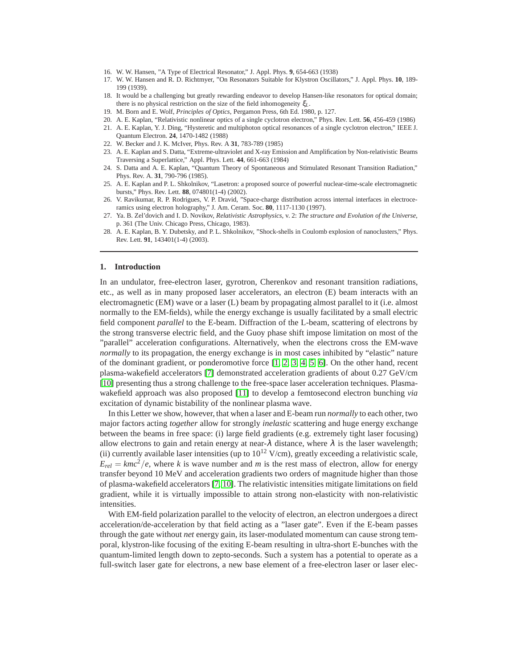- <span id="page-1-0"></span>16. W. W. Hansen, "A Type of Electrical Resonator," J. Appl. Phys. **9**, 654-663 (1938)
- 17. W. W. Hansen and R. D. Richtmyer, "On Resonators Suitable for Klystron Oscillators," J. Appl. Phys. **10**, 189- 199 (1939).
- <span id="page-1-1"></span>18. It would be a challenging but greatly rewarding endeavor to develop Hansen-like resonators for optical domain; there is no physical restriction on the size of the field inhomogeneity ξ*L*.
- <span id="page-1-3"></span><span id="page-1-2"></span>19. M. Born and E. Wolf, *Principles of Optics*, Pergamon Press, 6th Ed. 1980, p. 127.
- <span id="page-1-4"></span>20. A. E. Kaplan, "Relativistic nonlinear optics of a single cyclotron electron," Phys. Rev. Lett. **56**, 456-459 (1986)
- 21. A. E. Kaplan, Y. J. Ding, "Hysteretic and multiphoton optical resonances of a single cyclotron electron," IEEE J. Quantum Electron. **24**, 1470-1482 (1988)
- <span id="page-1-5"></span>22. W. Becker and J. K. McIver, Phys. Rev. A **31**, 783-789 (1985)
- <span id="page-1-6"></span>23. A. E. Kaplan and S. Datta, "Extreme-ultraviolet and X-ray Emission and Amplification by Non-relativistic Beams Traversing a Superlattice," Appl. Phys. Lett. **44**, 661-663 (1984)
- <span id="page-1-7"></span>24. S. Datta and A. E. Kaplan, "Quantum Theory of Spontaneous and Stimulated Resonant Transition Radiation," Phys. Rev. A. **31**, 790-796 (1985).
- <span id="page-1-8"></span>25. A. E. Kaplan and P. L. Shkolnikov, "Lasetron: a proposed source of powerful nuclear-time-scale electromagnetic bursts," Phys. Rev. Lett. **88**, 074801(1-4) (2002).
- <span id="page-1-9"></span>26. V. Ravikumar, R. P. Rodrigues, V. P. Dravid, "Space-charge distribution across internal interfaces in electroceramics using electron holography," J. Am. Ceram. Soc. **80**, 1117-1130 (1997).
- <span id="page-1-10"></span>27. Ya. B. Zel'dovich and I. D. Novikov, *Relativistic Astrophysics*, v. 2: *The structure and Evolution of the Universe*, p. 361 (The Univ. Chicago Press, Chicago, 1983).
- <span id="page-1-11"></span>28. A. E. Kaplan, B. Y. Dubetsky, and P. L. Shkolnikov, "Shock-shells in Coulomb explosion of nanoclusters," Phys. Rev. Lett. **91**, 143401(1-4) (2003).

#### **1. Introduction**

In an undulator, free-electron laser, gyrotron, Cherenkov and resonant transition radiations, etc., as well as in many proposed laser accelerators, an electron (E) beam interacts with an electromagnetic (EM) wave or a laser (L) beam by propagating almost parallel to it (i.e. almost normally to the EM-fields), while the energy exchange is usually facilitated by a small electric field component *parallel* to the E-beam. Diffraction of the L-beam, scattering of electrons by the strong transverse electric field, and the Guoy phase shift impose limitation on most of the "parallel" acceleration configurations. Alternatively, when the electrons cross the EM-wave *normally* to its propagation, the energy exchange is in most cases inhibited by "elastic" nature of the dominant gradient, or ponderomotive force [\[1,](#page-0-0) [2,](#page-0-1) [3,](#page-0-2) [4,](#page-0-3) [5,](#page-0-4) [6\]](#page-0-5). On the other hand, recent plasma-wakefield accelerators [\[7\]](#page-0-6) demonstrated acceleration gradients of about 0.27 GeV/cm [\[10\]](#page-0-7) presenting thus a strong challenge to the free-space laser acceleration techniques. Plasmawakefield approach was also proposed [\[11\]](#page-0-8) to develop a femtosecond electron bunching *via* excitation of dynamic bistability of the nonlinear plasma wave.

In this Letter we show, however, that when a laser and E-beam run *normally* to each other, two major factors acting *together* allow for strongly *inelastic* scattering and huge energy exchange between the beams in free space: (i) large field gradients (e.g. extremely tight laser focusing) allow electrons to gain and retain energy at near- $\lambda$  distance, where  $\lambda$  is the laser wavelength; (ii) currently available laser intensities (up to  $10^{12}$  V/cm), greatly exceeding a relativistic scale,  $E_{rel} = kmc^2/e$ , where *k* is wave number and *m* is the rest mass of electron, allow for energy transfer beyond 10 MeV and acceleration gradients two orders of magnitude higher than those of plasma-wakefield accelerators [\[7,](#page-0-6) [10\]](#page-0-7). The relativistic intensities mitigate limitations on field gradient, while it is virtually impossible to attain strong non-elasticity with non-relativistic intensities.

With EM-field polarization parallel to the velocity of electron, an electron undergoes a direct acceleration/de-acceleration by that field acting as a "laser gate". Even if the E-beam passes through the gate without *net* energy gain, its laser-modulated momentum can cause strong temporal, klystron-like focusing of the exiting E-beam resulting in ultra-short E-bunches with the quantum-limited length down to zepto-seconds. Such a system has a potential to operate as a full-switch laser gate for electrons, a new base element of a free-electron laser or laser elec-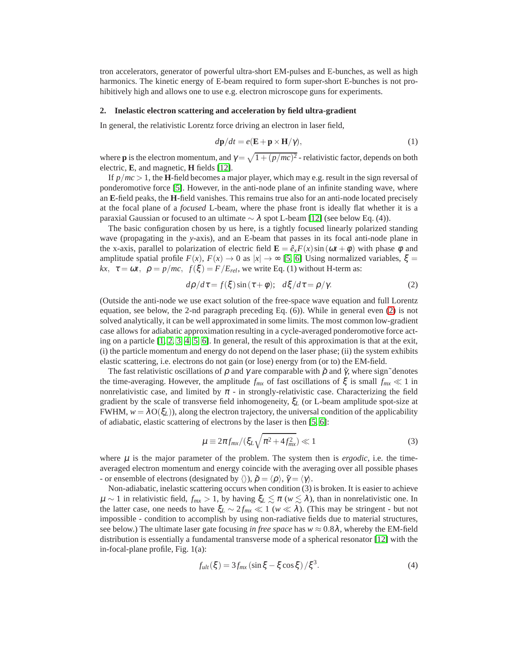tron accelerators, generator of powerful ultra-short EM-pulses and E-bunches, as well as high harmonics. The kinetic energy of E-beam required to form super-short E-bunches is not prohibitively high and allows one to use e.g. electron microscope guns for experiments.

### **2. Inelastic electron scattering and acceleration by field ultra-gradient**

In general, the relativistic Lorentz force driving an electron in laser field,

$$
d\mathbf{p}/dt = e(\mathbf{E} + \mathbf{p} \times \mathbf{H}/\gamma),\tag{1}
$$

where **p** is the electron momentum, and  $\gamma = \sqrt{1 + (p/mc)^2}$  - relativistic factor, depends on both electric, **E**, and magnetic, **H** fields [\[12\]](#page-0-9).

If  $p/mc > 1$ , the **H**-field becomes a major player, which may e.g. result in the sign reversal of ponderomotive force [\[5\]](#page-0-4). However, in the anti-node plane of an infinite standing wave, where an **E**-field peaks, the **H**-field vanishes. This remains true also for an anti-node located precisely at the focal plane of a *focused* L-beam, where the phase front is ideally flat whether it is a paraxial Gaussian or focused to an ultimate  $\sim \lambda$  spot L-beam [\[12\]](#page-0-9) (see below Eq. (4)).

The basic configuration chosen by us here, is a tightly focused linearly polarized standing wave (propagating in the *y*-axis), and an E-beam that passes in its focal anti-node plane in the x-axis, parallel to polarization of electric field  $\mathbf{E} = \hat{e}_x F(x) \sin(\omega t + \phi)$  with phase  $\phi$  and amplitude spatial profile  $F(x)$ ,  $F(x) \to 0$  as  $|x| \to \infty$  [\[5,](#page-0-4) [6\]](#page-0-5) Using normalized variables,  $\xi =$ *kx*,  $\tau = \omega t$ ,  $\rho = p/mc$ ,  $f(\xi) = F/E_{rel}$ , we write Eq. (1) without H-term as:

<span id="page-2-0"></span>
$$
d\rho/d\tau = f(\xi)\sin(\tau + \phi); \quad d\xi/d\tau = \rho/\gamma. \tag{2}
$$

(Outside the anti-node we use exact solution of the free-space wave equation and full Lorentz equation, see below, the 2-nd paragraph preceding Eq. (6)). While in general even [\(2\)](#page-2-0) is not solved analytically, it can be well approximated in some limits. The most common low-gradient case allows for adiabatic approximation resulting in a cycle-averaged ponderomotive force acting on a particle  $[1, 2, 3, 4, 5, 6]$  $[1, 2, 3, 4, 5, 6]$  $[1, 2, 3, 4, 5, 6]$  $[1, 2, 3, 4, 5, 6]$  $[1, 2, 3, 4, 5, 6]$  $[1, 2, 3, 4, 5, 6]$ . In general, the result of this approximation is that at the exit, (i) the particle momentum and energy do not depend on the laser phase; (ii) the system exhibits elastic scattering, i.e. electrons do not gain (or lose) energy from (or to) the EM-field.

The fast relativistic oscillations of  $\rho$  and  $\gamma$  are comparable with  $\tilde{\rho}$  and  $\tilde{\gamma}$ , where sign~denotes the time-averaging. However, the amplitude  $f_{mx}$  of fast oscillations of  $\xi$  is small  $f_{mx} \ll 1$  in nonrelativistic case, and limited by  $\pi$  - in strongly-relativistic case. Characterizing the field gradient by the scale of transverse field inhomogeneity, ξ*<sup>L</sup>* (or L-beam amplitude spot-size at FWHM,  $w = \lambda O(\xi_L)$ ), along the electron trajectory, the universal condition of the applicability of adiabatic, elastic scattering of electrons by the laser is then [\[5,](#page-0-4) [6\]](#page-0-5):

$$
\mu \equiv 2\pi f_{mx}/(\xi_L \sqrt{\pi^2 + 4f_{mx}^2}) \ll 1 \tag{3}
$$

where  $\mu$  is the major parameter of the problem. The system then is *ergodic*, i.e. the timeaveraged electron momentum and energy coincide with the averaging over all possible phases - or ensemble of electrons (designated by  $\langle \rangle$ ),  $\tilde{\rho} = \langle \rho \rangle$ ,  $\tilde{\gamma} = \langle \gamma \rangle$ .

Non-adiabatic, inelastic scattering occurs when condition (3) is broken. It is easier to achieve  $\mu \sim 1$  in relativistic field,  $f_{mx} > 1$ , by having  $\xi_L \lesssim \pi$  ( $w \lesssim \lambda$ ), than in nonrelativistic one. In the latter case, one needs to have  $\xi_L \sim 2 f_{mx} \ll 1$  ( $w \ll \lambda$ ). (This may be stringent - but not impossible - condition to accomplish by using non-radiative fields due to material structures, see below.) The ultimate laser gate focusing *in free space* has  $w \approx 0.8\lambda$ , whereby the EM-field distribution is essentially a fundamental transverse mode of a spherical resonator [\[12\]](#page-0-9) with the in-focal-plane profile, Fig. 1(a):

$$
f_{ult}(\xi) = 3f_{mx}(\sin \xi - \xi \cos \xi) / \xi^{3}.
$$
 (4)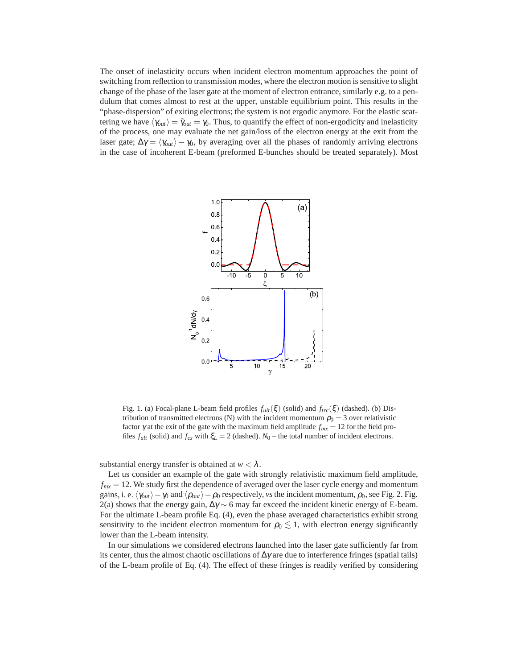The onset of inelasticity occurs when incident electron momentum approaches the point of switching from reflection to transmission modes, where the electron motion is sensitive to slight change of the phase of the laser gate at the moment of electron entrance, similarly e.g. to a pendulum that comes almost to rest at the upper, unstable equilibrium point. This results in the "phase-dispersion" of exiting electrons; the system is not ergodic anymore. For the elastic scattering we have  $\langle \gamma_{out} \rangle = \tilde{\gamma}_{out} = \gamma_0$ . Thus, to quantify the effect of non-ergodicity and inelasticity of the process, one may evaluate the net gain/loss of the electron energy at the exit from the laser gate;  $\Delta \gamma = \langle \gamma_{out} \rangle - \gamma_0$ , by averaging over all the phases of randomly arriving electrons in the case of incoherent E-beam (preformed E-bunches should be treated separately). Most



Fig. 1. (a) Focal-plane L-beam field profiles  $f_{ult}(\xi)$  (solid) and  $f_{trc}(\xi)$  (dashed). (b) Distribution of transmitted electrons (N) with the incident momentum  $\rho_0 = 3$  over relativistic factor <sup>γ</sup> at the exit of the gate with the maximum field amplitude *fmx* = 12 for the field profiles  $f_{ult}$  (solid) and  $f_{cs}$  with  $\xi_L = 2$  (dashed).  $N_0$  – the total number of incident electrons.

substantial energy transfer is obtained at  $w < \lambda$ .

Let us consider an example of the gate with strongly relativistic maximum field amplitude,  $f_{mx} = 12$ . We study first the dependence of averaged over the laser cycle energy and momentum gains, i. e.  $\langle \gamma_{out} \rangle$ − $\gamma_0$  and  $\langle \rho_{out} \rangle$ − $\rho_0$  respectively, *vs* the incident momentum,  $\rho_0$ , see Fig. 2. Fig. 2(a) shows that the energy gain,  $\Delta \gamma \sim 6$  may far exceed the incident kinetic energy of E-beam. For the ultimate L-beam profile Eq. (4), even the phase averaged characteristics exhibit strong sensitivity to the incident electron momentum for  $\rho_0 \lesssim 1$ , with electron energy significantly lower than the L-beam intensity.

In our simulations we considered electrons launched into the laser gate sufficiently far from its center, thus the almost chaotic oscillations of  $\Delta \gamma$  are due to interference fringes (spatial tails) of the L-beam profile of Eq. (4). The effect of these fringes is readily verified by considering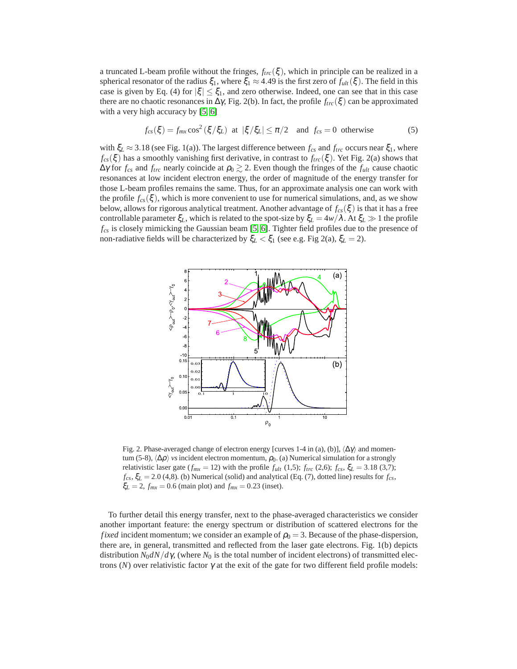a truncated L-beam profile without the fringes,  $f_{trc}(\xi)$ , which in principle can be realized in a spherical resonator of the radius  $\xi_1$ , where  $\xi_1 \approx 4.49$  is the first zero of  $f_{ult}(\xi)$ . The field in this case is given by Eq. (4) for  $|\xi| \leq \xi_1$ , and zero otherwise. Indeed, one can see that in this case there are no chaotic resonances in  $\Delta \gamma$ , Fig. 2(b). In fact, the profile  $f_{trc}(\xi)$  can be approximated with a very high accuracy by [\[5,](#page-0-4) [6\]](#page-0-5)

$$
f_{cs}(\xi) = f_{mx} \cos^2(\xi/\xi_L) \text{ at } |\xi/\xi_L| \le \pi/2 \text{ and } f_{cs} = 0 \text{ otherwise}
$$
 (5)

with  $\xi_L \approx 3.18$  (see Fig. 1(a)). The largest difference between  $f_{cs}$  and  $f_{trc}$  occurs near  $\xi_1$ , where  $f_{cs}(\xi)$  has a smoothly vanishing first derivative, in contrast to  $f_{trc}(\xi)$ . Yet Fig. 2(a) shows that  $\Delta \gamma$  for  $f_{cs}$  and  $f_{trc}$  nearly coincide at  $\rho_0 \gtrsim 2$ . Even though the fringes of the  $f_{ult}$  cause chaotic resonances at low incident electron energy, the order of magnitude of the energy transfer for those L-beam profiles remains the same. Thus, for an approximate analysis one can work with the profile  $f_{cs}(\xi)$ , which is more convenient to use for numerical simulations, and, as we show below, allows for rigorous analytical treatment. Another advantage of *fcs*(ξ ) is that it has a free controllable parameter  $\xi_L$ , which is related to the spot-size by  $\xi_L = 4w/\lambda$ . At  $\xi_L \gg 1$  the profile *fcs* is closely mimicking the Gaussian beam [\[5,](#page-0-4) [6\]](#page-0-5). Tighter field profiles due to the presence of non-radiative fields will be characterized by  $\xi_L < \xi_1$  (see e.g. Fig 2(a),  $\xi_L = 2$ ).



Fig. 2. Phase-averaged change of electron energy [curves 1-4 in (a), (b)],  $\langle \Delta \gamma \rangle$  and momentum (5-8),  $\langle \Delta \rho \rangle$  *vs* incident electron momentum,  $\rho_0$ . (a) Numerical simulation for a strongly relativistic laser gate ( $f_{mx} = 12$ ) with the profile  $f_{ult}$  (1,5);  $f_{trc}$  (2,6);  $f_{cs}$ ,  $\xi_L = 3.18$  (3,7);  $f_{cs}$ ,  $\xi_L$  = 2.0 (4,8). (b) Numerical (solid) and analytical (Eq. (7), dotted line) results for  $f_{cs}$ ,  $\xi_L = 2$ ,  $f_{mx} = 0.6$  (main plot) and  $f_{mx} = 0.23$  (inset).

To further detail this energy transfer, next to the phase-averaged characteristics we consider another important feature: the energy spectrum or distribution of scattered electrons for the *fixed* incident momentum; we consider an example of  $\rho_0 = 3$ . Because of the phase-dispersion, there are, in general, transmitted and reflected from the laser gate electrons. Fig. 1(b) depicts distribution  $N_0 dN/d\gamma$ , (where  $N_0$  is the total number of incident electrons) of transmitted electrons ( $N$ ) over relativistic factor  $\gamma$  at the exit of the gate for two different field profile models: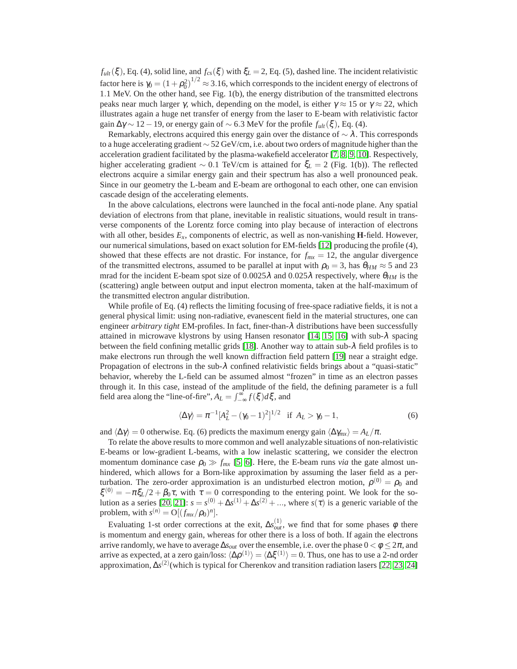$f_{ult}(\xi)$ , Eq. (4), solid line, and  $f_{cs}(\xi)$  with  $\xi_L = 2$ , Eq. (5), dashed line. The incident relativistic factor here is  $\gamma_0 = (1+\rho_0^2)^{1/2} \approx 3.16$ , which corresponds to the incident energy of electrons of 1.1 MeV. On the other hand, see Fig. 1(b), the energy distribution of the transmitted electrons peaks near much larger γ, which, depending on the model, is either  $\gamma \approx 15$  or  $\gamma \approx 22$ , which illustrates again a huge net transfer of energy from the laser to E-beam with relativistic factor gain  $\Delta \gamma \sim 12 - 19$ , or energy gain of  $\sim 6.3$  MeV for the profile  $f_{ult}(\xi)$ , Eq. (4).

Remarkably, electrons acquired this energy gain over the distance of  $\sim \lambda$ . This corresponds to a huge accelerating gradient ∼ 52 GeV/cm, i.e. about two orders of magnitude higher than the acceleration gradient facilitated by the plasma-wakefield accelerator [\[7,](#page-0-6) [8,](#page-0-10) [9,](#page-0-11) [10\]](#page-0-7). Respectively, higher accelerating gradient ∼ 0.1 TeV/cm is attained for ξ*<sup>L</sup>* = 2 (Fig. 1(b)). The reflected electrons acquire a similar energy gain and their spectrum has also a well pronounced peak. Since in our geometry the L-beam and E-beam are orthogonal to each other, one can envision cascade design of the accelerating elements.

In the above calculations, electrons were launched in the focal anti-node plane. Any spatial deviation of electrons from that plane, inevitable in realistic situations, would result in transverse components of the Lorentz force coming into play because of interaction of electrons with all other, besides *Ex*, components of electric, as well as non-vanishing **H**-field. However, our numerical simulations, based on exact solution for EM-fields [\[12\]](#page-0-9) producing the profile (4), showed that these effects are not drastic. For instance, for  $f_{mx} = 12$ , the angular divergence of the transmitted electrons, assumed to be parallel at input with  $\rho_0 = 3$ , has  $\theta_{HM} \approx 5$  and 23 mrad for the incident E-beam spot size of  $0.0025\lambda$  and  $0.025\lambda$  respectively, where  $\theta_{HM}$  is the (scattering) angle between output and input electron momenta, taken at the half-maximum of the transmitted electron angular distribution.

While profile of Eq. (4) reflects the limiting focusing of free-space radiative fields, it is not a general physical limit: using non-radiative, evanescent field in the material structures, one can engineer *arbitrary tight* EM-profiles. In fact, finer-than-λ distributions have been successfully attained in microwave klystrons by using Hansen resonator [\[14,](#page-0-12) [15,](#page-0-13) [16\]](#page-1-0) with sub-λ spacing between the field confining metallic grids [\[18\]](#page-1-1). Another way to attain sub- $\lambda$  field profiles is to make electrons run through the well known diffraction field pattern [\[19\]](#page-1-2) near a straight edge. Propagation of electrons in the sub- $\lambda$  confined relativistic fields brings about a "quasi-static" behavior, whereby the L-field can be assumed almost "frozen" in time as an electron passes through it. In this case, instead of the amplitude of the field, the defining parameter is a full field area along the "line-of-fire",  $A_L = \int_{-\infty}^{\infty} f(\xi) d\xi$ , and

$$
\langle \Delta \gamma \rangle = \pi^{-1} [A_L^2 - (\gamma_0 - 1)^2]^{1/2} \quad \text{if } A_L > \gamma_0 - 1,\tag{6}
$$

and  $\langle \Delta \gamma \rangle = 0$  otherwise. Eq. (6) predicts the maximum energy gain  $\langle \Delta \gamma_{mx} \rangle = A_L/\pi$ .

To relate the above results to more common and well analyzable situations of non-relativistic E-beams or low-gradient L-beams, with a low inelastic scattering, we consider the electron momentum dominance case  $\rho_0 \gg f_{mx}$  [\[5,](#page-0-4) [6\]](#page-0-5). Here, the E-beam runs *via* the gate almost unhindered, which allows for a Born-like approximation by assuming the laser field as a perturbation. The zero-order approximation is an undisturbed electron motion,  $\rho^{(0)} = \rho_0$  and  $\xi^{(0)} = -\pi \xi_L/2 + \beta_0 \tau$ , with  $\tau = 0$  corresponding to the entering point. We look for the so-lution as a series [\[20,](#page-1-3) [21\]](#page-1-4):  $s = s^{(0)} + \Delta s^{(1)} + \Delta s^{(2)} + ...$ , where  $s(\tau)$  is a generic variable of the problem, with  $s^{(n)} = O[(f_{mx}/\rho_0)^n]$ .

Evaluating 1-st order corrections at the exit,  $\Delta s_{out}^{(1)}$ , we find that for some phases  $\phi$  there is momentum and energy gain, whereas for other there is a loss of both. If again the electrons arrive randomly, we have to average  $\Delta s_{out}$  over the ensemble, i.e. over the phase  $0 < \phi \leq 2\pi$ , and arrive as expected, at a zero gain/loss:  $\langle \Delta \rho^{(1)} \rangle = \langle \Delta \xi^{(1)} \rangle = 0$ . Thus, one has to use a 2-nd order approximation, ∆*s* (2) (which is typical for Cherenkov and transition radiation lasers [\[22,](#page-1-5) [23,](#page-1-6) [24\]](#page-1-7)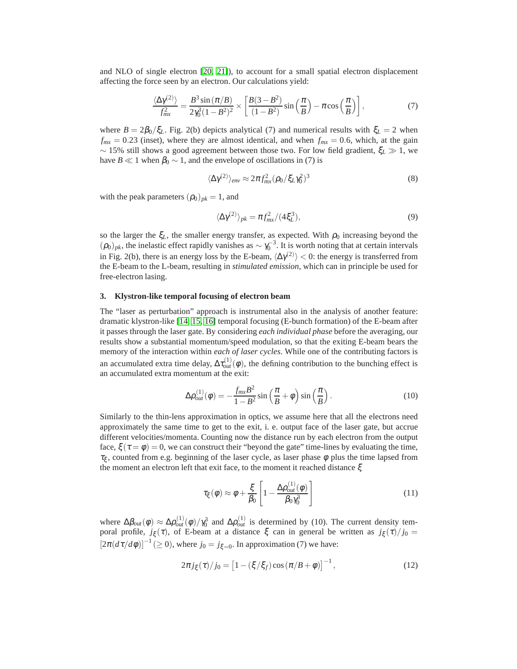and NLO of single electron [\[20,](#page-1-3) [21\]](#page-1-4)), to account for a small spatial electron displacement affecting the force seen by an electron. Our calculations yield:

$$
\frac{\langle \Delta \gamma^{(2)} \rangle}{f_{mx}^2} = \frac{B^3 \sin \left( \frac{\pi}{B} \right)}{2\gamma_0^3 (1 - B^2)^2} \times \left[ \frac{B(3 - B^2)}{(1 - B^2)} \sin \left( \frac{\pi}{B} \right) - \pi \cos \left( \frac{\pi}{B} \right) \right],\tag{7}
$$

where  $B = 2\beta_0/\xi_L$ . Fig. 2(b) depicts analytical (7) and numerical results with  $\xi_L = 2$  when  $f_{mx} = 0.23$  (inset), where they are almost identical, and when  $f_{mx} = 0.6$ , which, at the gain ∼ 15% still shows a good agreement between those two. For low field gradient, ξ*<sup>L</sup>* ≫ 1, we have *B*  $\ll$  1 when  $\beta_0 \sim 1$ , and the envelope of oscillations in (7) is

$$
\langle \Delta \gamma^{(2)} \rangle_{env} \approx 2\pi f_{mx}^2 (\rho_0 / \xi_L \gamma_0^2)^3 \tag{8}
$$

with the peak parameters  $(\rho_0)_{pk} = 1$ , and

$$
\langle \Delta \gamma^{(2)} \rangle_{pk} = \pi f_{mx}^2 / (4\xi_L^3),\tag{9}
$$

so the larger the  $\xi_L$ , the smaller energy transfer, as expected. With  $\rho_0$  increasing beyond the  $(\rho_0)_{pk}$ , the inelastic effect rapidly vanishes as  $\sim \gamma_0^{-3}$ . It is worth noting that at certain intervals in Fig. 2(b), there is an energy loss by the E-beam,  $\langle \Delta \gamma^{(2)} \rangle$  < 0: the energy is transferred from the E-beam to the L-beam, resulting in *stimulated emission*, which can in principle be used for free-electron lasing.

## **3. Klystron-like temporal focusing of electron beam**

The "laser as perturbation" approach is instrumental also in the analysis of another feature: dramatic klystron-like [\[14,](#page-0-12) [15,](#page-0-13) [16\]](#page-1-0) temporal focusing (E-bunch formation) of the E-beam after it passes through the laser gate. By considering *each individual phase* before the averaging, our results show a substantial momentum/speed modulation, so that the exiting E-beam bears the memory of the interaction within *each of laser cycles*. While one of the contributing factors is an accumulated extra time delay,  $\Delta \tau_{out}^{(1)}(\phi)$ , the defining contribution to the bunching effect is an accumulated extra momentum at the exit:

$$
\Delta \rho_{out}^{(1)}(\phi) = -\frac{f_{mx}B^2}{1 - B^2} \sin\left(\frac{\pi}{B} + \phi\right) \sin\left(\frac{\pi}{B}\right). \tag{10}
$$

Similarly to the thin-lens approximation in optics, we assume here that all the electrons need approximately the same time to get to the exit, i. e. output face of the laser gate, but accrue different velocities/momenta. Counting now the distance run by each electron from the output face,  $\xi(\tau = \phi) = 0$ , we can construct their "beyond the gate" time-lines by evaluating the time,  $\tau_{\xi}$ , counted from e.g. beginning of the laser cycle, as laser phase  $\phi$  plus the time lapsed from the moment an electron left that exit face, to the moment it reached distance ξ

$$
\tau_{\xi}(\phi) \approx \phi + \frac{\xi}{\beta_0} \left[ 1 - \frac{\Delta \rho_{out}^{(1)}(\phi)}{\beta_0 \gamma_0^3} \right]
$$
(11)

where  $\Delta \beta_{out}(\phi) \approx \Delta \rho_{out}^{(1)}(\phi)/\gamma_0^3$  and  $\Delta \rho_{out}^{(1)}$  is determined by (10). The current density temporal profile,  $j_{\xi}(\tau)$ , of E-beam at a distance ξ can in general be written as  $j_{\xi}(\tau)/j_0 =$  $[2\pi(d\tau/d\phi)]^{-1}$  (≥ 0), where  $j_0 = j_{\xi=0}$ . In approximation (7) we have:

$$
2\pi j_{\xi}(\tau)/j_0 = \left[1 - (\xi/\xi_f)\cos(\pi/B + \phi)\right]^{-1},\tag{12}
$$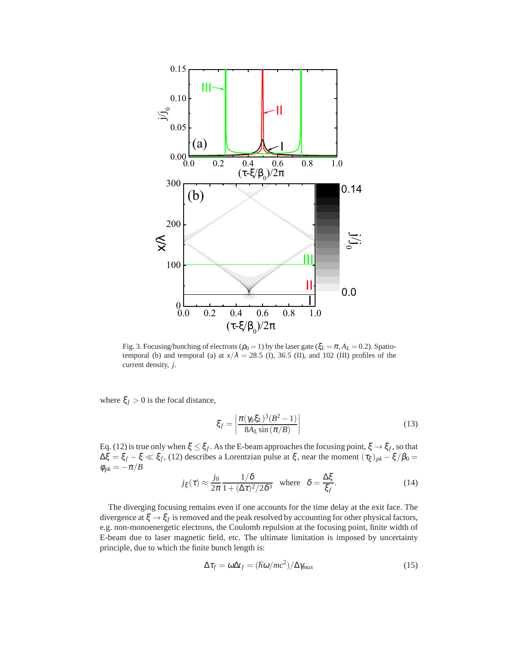

Fig. 3. Focusing/bunching of electrons ( $\rho_0 = 1$ ) by the laser gate ( $\xi_L = \pi$ ,  $A_L = 0.2$ ). Spatiotemporal (b) and temporal (a) at  $x/\lambda = 28.5$  (I), 36.5 (II), and 102 (III) profiles of the current density, *j*.

where  $\xi_f > 0$  is the focal distance,

$$
\xi_f = \left| \frac{\pi (\gamma_0 \xi_L)^3 (B^2 - 1)}{8A_L \sin (\pi / B)} \right| \tag{13}
$$

Eq. (12) is true only when  $\xi \leq \xi_f$ . As the E-beam approaches the focusing point,  $\xi \to \xi_f$ , so that  $\Delta \xi = \xi_f - \xi \ll \xi_f$ , (12) describes a Lorentzian pulse at  $\xi$ , near the moment  $(\tau_{\xi})_{pk} - \xi/\beta_0 =$  $\phi_{pk}=-\pi/B$ 

$$
j_{\xi}(\tau) \approx \frac{j_0}{2\pi} \frac{1/\delta}{1 + (\Delta \tau)^2/2\delta^3}
$$
 where  $\delta = \frac{\Delta \xi}{\xi_f}$ . (14)

The diverging focusing remains even if one accounts for the time delay at the exit face. The divergence at  $\xi \to \xi_f$  is removed and the peak resolved by accounting for other physical factors, e.g. non-monoenergetic electrons, the Coulomb repulsion at the focusing point, finite width of E-beam due to laser magnetic field, etc. The ultimate limitation is imposed by uncertainty principle, due to which the finite bunch length is:

$$
\Delta \tau_f = \omega \Delta t_f = (\hbar \omega / mc^2) / \Delta \gamma_{max}
$$
 (15)